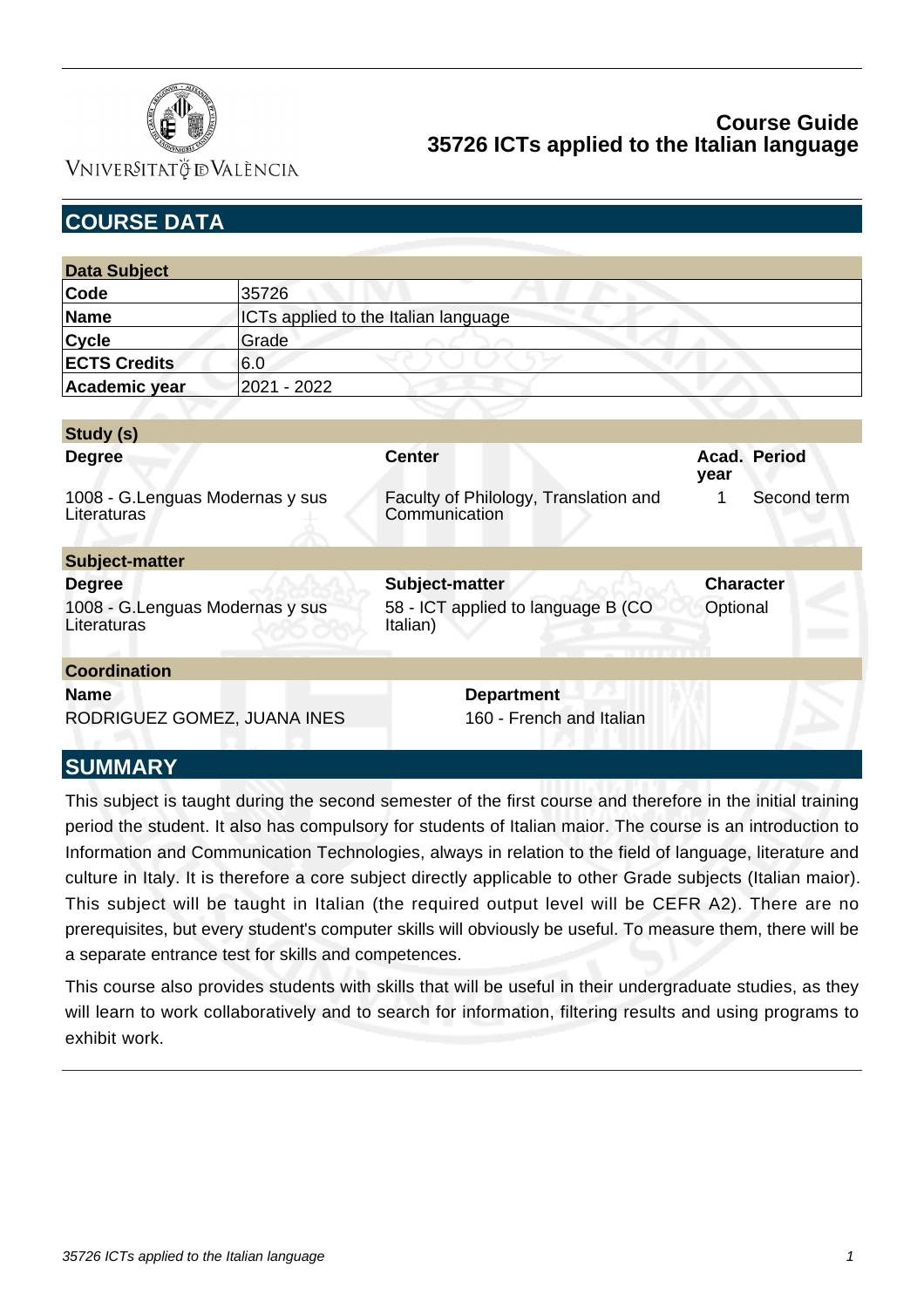

VNIVERSITATÖ ID VALÈNCIA

| <b>COURSE DATA</b>                              |                                      |                                                        |                      |             |  |
|-------------------------------------------------|--------------------------------------|--------------------------------------------------------|----------------------|-------------|--|
|                                                 |                                      |                                                        |                      |             |  |
| <b>Data Subject</b>                             |                                      |                                                        |                      |             |  |
| Code                                            | 35726                                |                                                        |                      |             |  |
| <b>Name</b>                                     | ICTs applied to the Italian language |                                                        |                      |             |  |
| <b>Cycle</b>                                    | Grade                                |                                                        |                      |             |  |
| <b>ECTS Credits</b>                             | 6.0                                  |                                                        |                      |             |  |
| Academic year                                   | 2021 - 2022                          |                                                        |                      |             |  |
|                                                 |                                      |                                                        |                      |             |  |
| Study (s)                                       |                                      |                                                        |                      |             |  |
| <b>Degree</b>                                   |                                      | <b>Center</b>                                          | Acad. Period<br>year |             |  |
| 1008 - G. Lenguas Modernas y sus<br>Literaturas |                                      | Faculty of Philology, Translation and<br>Communication | 1                    | Second term |  |
| Subject-matter                                  |                                      |                                                        |                      |             |  |
| <b>Degree</b>                                   |                                      | Subject-matter                                         | <b>Character</b>     |             |  |
| 1008 - G. Lenguas Modernas y sus<br>Literaturas |                                      | 58 - ICT applied to language B (CO<br>Italian)         | Optional             |             |  |
| <b>Coordination</b>                             |                                      |                                                        |                      |             |  |
| <b>Name</b>                                     |                                      | <b>Department</b>                                      |                      |             |  |
| RODRIGUEZ GOMEZ, JUANA INES                     |                                      | 160 - French and Italian                               |                      |             |  |

# **SUMMARY**

This subject is taught during the second semester of the first course and therefore in the initial training period the student. It also has compulsory for students of Italian maior. The course is an introduction to Information and Communication Technologies, always in relation to the field of language, literature and culture in Italy. It is therefore a core subject directly applicable to other Grade subjects (Italian maior). This subject will be taught in Italian (the required output level will be CEFR A2). There are no prerequisites, but every student's computer skills will obviously be useful. To measure them, there will be a separate entrance test for skills and competences.

This course also provides students with skills that will be useful in their undergraduate studies, as they will learn to work collaboratively and to search for information, filtering results and using programs to exhibit work.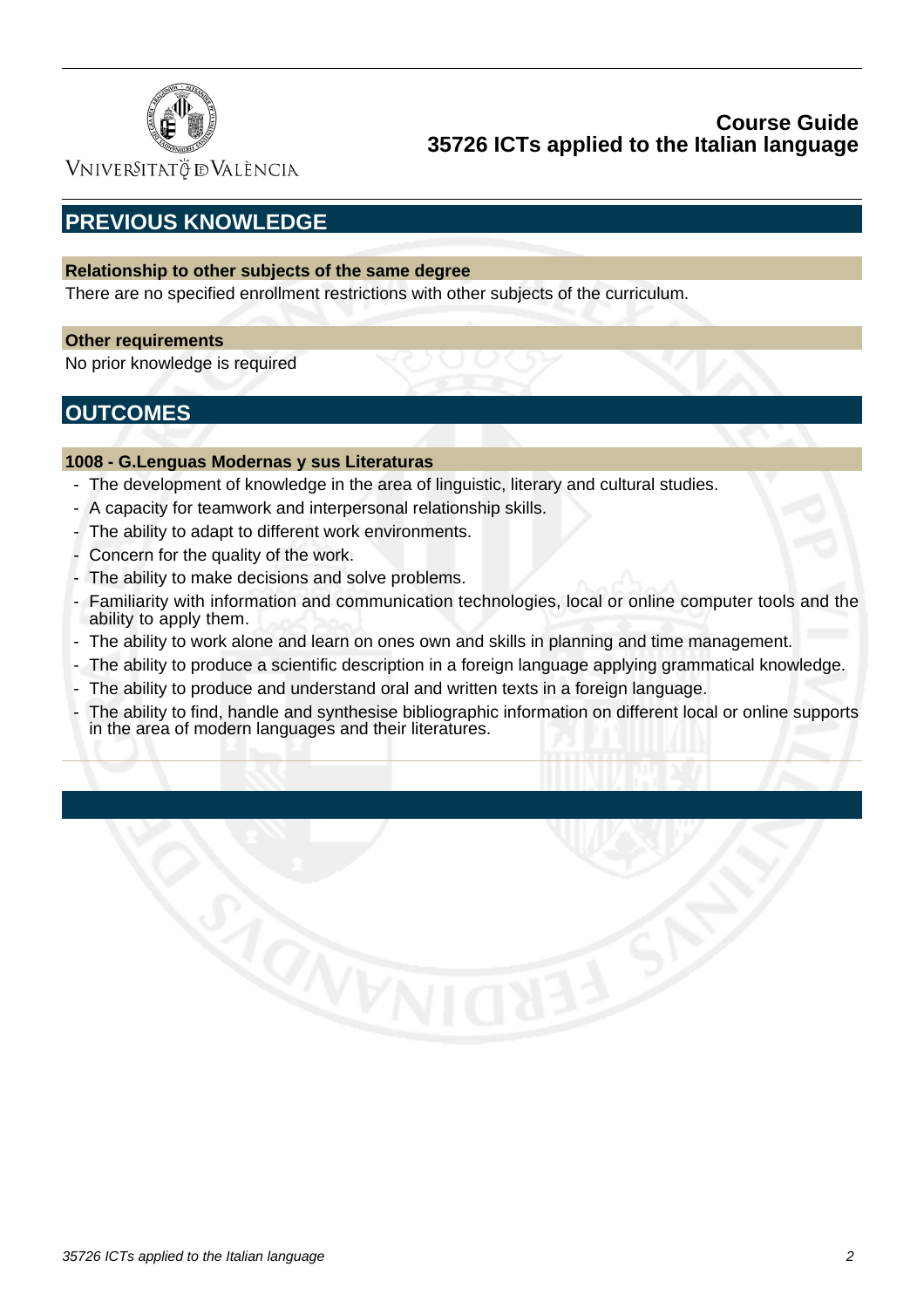

VNIVERSITATÖ ID VALÈNCIA

# **PREVIOUS KNOWLEDGE**

### **Relationship to other subjects of the same degree**

There are no specified enrollment restrictions with other subjects of the curriculum.

### **Other requirements**

No prior knowledge is required

# **OUTCOMES**

### **1008 - G.Lenguas Modernas y sus Literaturas**

- The development of knowledge in the area of linguistic, literary and cultural studies.
- A capacity for teamwork and interpersonal relationship skills.
- The ability to adapt to different work environments.
- Concern for the quality of the work.
- The ability to make decisions and solve problems.
- Familiarity with information and communication technologies, local or online computer tools and the ability to apply them.
- The ability to work alone and learn on ones own and skills in planning and time management.
- The ability to produce a scientific description in a foreign language applying grammatical knowledge.
- The ability to produce and understand oral and written texts in a foreign language.
- The ability to find, handle and synthesise bibliographic information on different local or online supports in the area of modern languages and their literatures.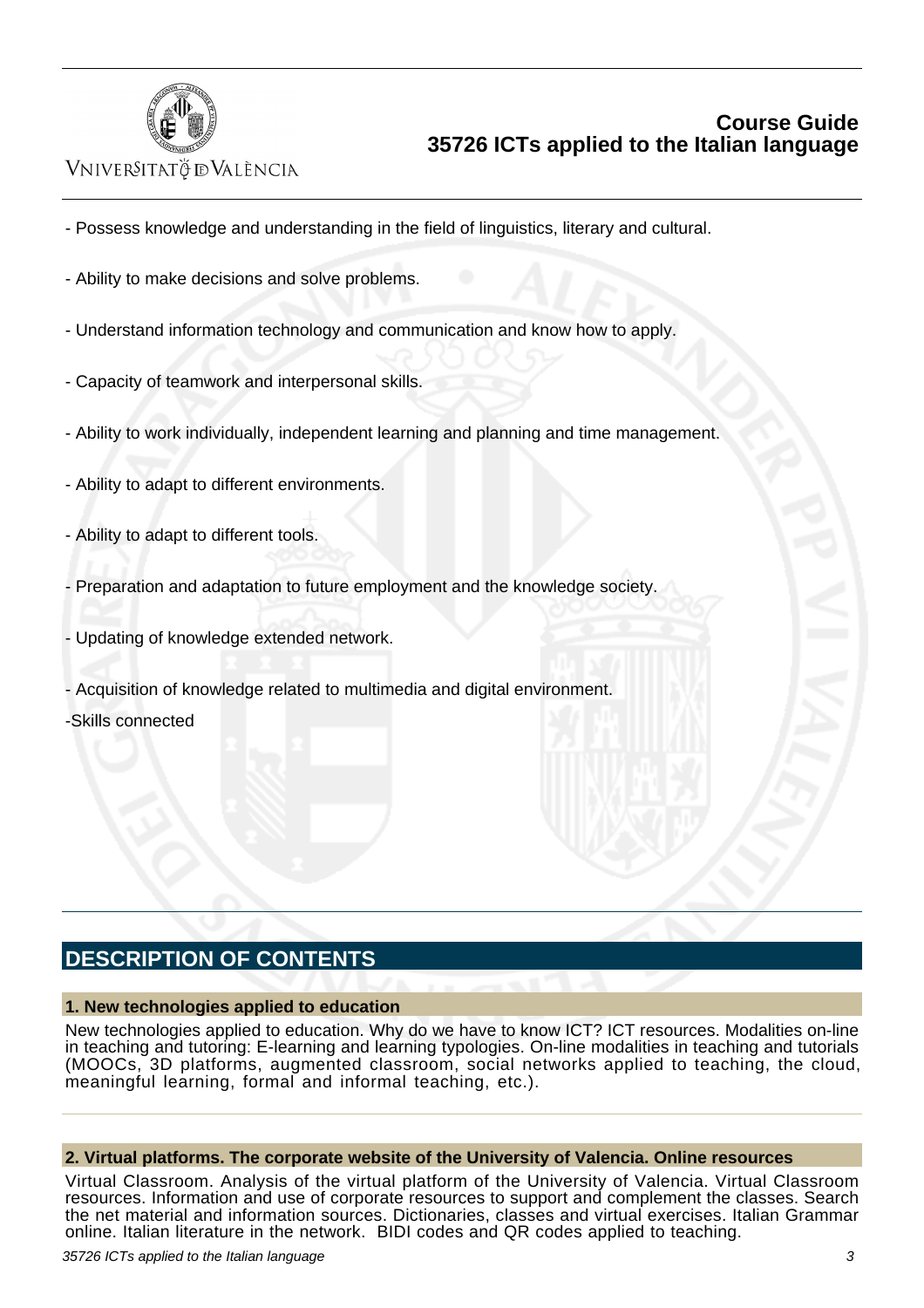

# VNIVERSITATÖ ID VALÈNCIA

- Possess knowledge and understanding in the field of linguistics, literary and cultural.

- Ability to make decisions and solve problems.
- Understand information technology and communication and know how to apply.
- Capacity of teamwork and interpersonal skills.
- Ability to work individually, independent learning and planning and time management.
- Ability to adapt to different environments.
- Ability to adapt to different tools.
- Preparation and adaptation to future employment and the knowledge society.
- Updating of knowledge extended network.
- Acquisition of knowledge related to multimedia and digital environment.

-Skills connected

# **DESCRIPTION OF CONTENTS**

### **1. New technologies applied to education**

New technologies applied to education. Why do we have to know ICT? ICT resources. Modalities on-line in teaching and tutoring: E-learning and learning typologies. On-line modalities in teaching and tutorials (MOOCs, 3D platforms, augmented classroom, social networks applied to teaching, the cloud, meaningful learning, formal and informal teaching, etc.).

### **2. Virtual platforms. The corporate website of the University of Valencia. Online resources**

Virtual Classroom. Analysis of the virtual platform of the University of Valencia. Virtual Classroom resources. Information and use of corporate resources to support and complement the classes. Search the net material and information sources. Dictionaries, classes and virtual exercises. Italian Grammar online. Italian literature in the network. BIDI codes and QR codes applied to teaching.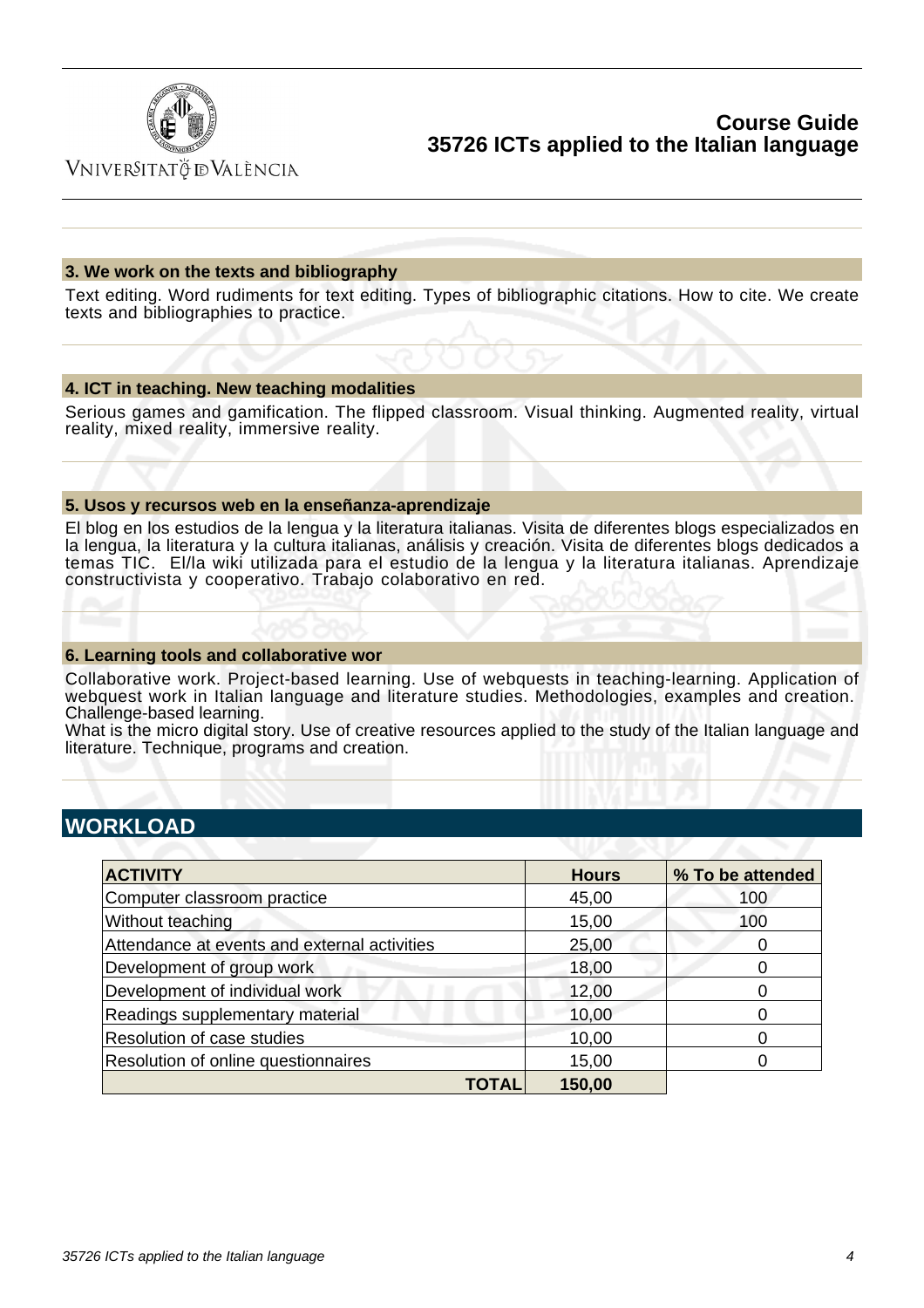

VNIVERSITATÖ IDVALÈNCIA

### **3. We work on the texts and bibliography**

Text editing. Word rudiments for text editing. Types of bibliographic citations. How to cite. We create texts and bibliographies to practice.

### **4. ICT in teaching. New teaching modalities**

Serious games and gamification. The flipped classroom. Visual thinking. Augmented reality, virtual reality, mixed reality, immersive reality.

### **5. Usos y recursos web en la enseñanza-aprendizaje**

El blog en los estudios de la lengua y la literatura italianas. Visita de diferentes blogs especializados en la lengua, la literatura y la cultura italianas, análisis y creación. Visita de diferentes blogs dedicados a temas TIC. El/la wiki utilizada para el estudio de la lengua y la literatura italianas. Aprendizaje constructivista y cooperativo. Trabajo colaborativo en red.

### **6. Learning tools and collaborative wor**

Collaborative work. Project-based learning. Use of webquests in teaching-learning. Application of webquest work in Italian language and literature studies. Methodologies, examples and creation. Challenge-based learning.

What is the micro digital story. Use of creative resources applied to the study of the Italian language and literature. Technique, programs and creation.

## **WORKLOAD**

| <b>ACTIVITY</b>                              | <b>Hours</b> | % To be attended  |
|----------------------------------------------|--------------|-------------------|
| Computer classroom practice                  | 45,00        | 100               |
| Without teaching                             | 15,00        | 100               |
| Attendance at events and external activities | 25,00        | 0                 |
| Development of group work                    | 18,00        | 0                 |
| Development of individual work               | 12,00        |                   |
| Readings supplementary material              | 10,00        |                   |
| Resolution of case studies                   | 10,00        | $\mathbf{\Omega}$ |
| Resolution of online questionnaires          | 15,00        |                   |
| TOTAL                                        | 150,00       |                   |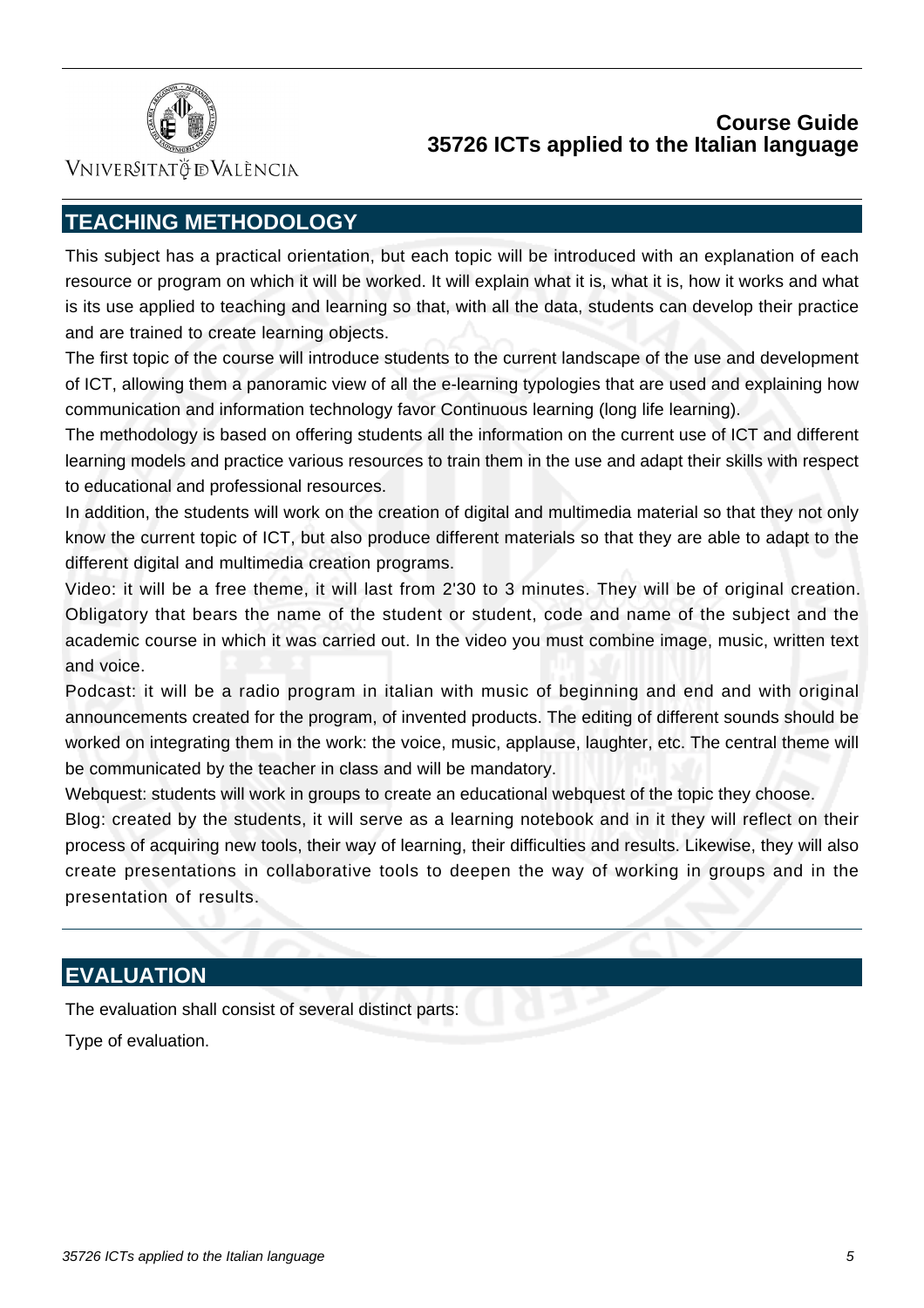

VNIVERSITATÖ ID VALÈNCIA

# **TEACHING METHODOLOGY**

This subject has a practical orientation, but each topic will be introduced with an explanation of each resource or program on which it will be worked. It will explain what it is, what it is, how it works and what is its use applied to teaching and learning so that, with all the data, students can develop their practice and are trained to create learning objects.

The first topic of the course will introduce students to the current landscape of the use and development of ICT, allowing them a panoramic view of all the e-learning typologies that are used and explaining how communication and information technology favor Continuous learning (long life learning).

The methodology is based on offering students all the information on the current use of ICT and different learning models and practice various resources to train them in the use and adapt their skills with respect to educational and professional resources.

In addition, the students will work on the creation of digital and multimedia material so that they not only know the current topic of ICT, but also produce different materials so that they are able to adapt to the different digital and multimedia creation programs.

Video: it will be a free theme, it will last from 2'30 to 3 minutes. They will be of original creation. Obligatory that bears the name of the student or student, code and name of the subject and the academic course in which it was carried out. In the video you must combine image, music, written text and voice.

Podcast: it will be a radio program in italian with music of beginning and end and with original announcements created for the program, of invented products. The editing of different sounds should be worked on integrating them in the work: the voice, music, applause, laughter, etc. The central theme will be communicated by the teacher in class and will be mandatory.

Webquest: students will work in groups to create an educational webquest of the topic they choose.

Blog: created by the students, it will serve as a learning notebook and in it they will reflect on their process of acquiring new tools, their way of learning, their difficulties and results. Likewise, they will also create presentations in collaborative tools to deepen the way of working in groups and in the presentation of results.

# **EVALUATION**

The evaluation shall consist of several distinct parts:

Type of evaluation.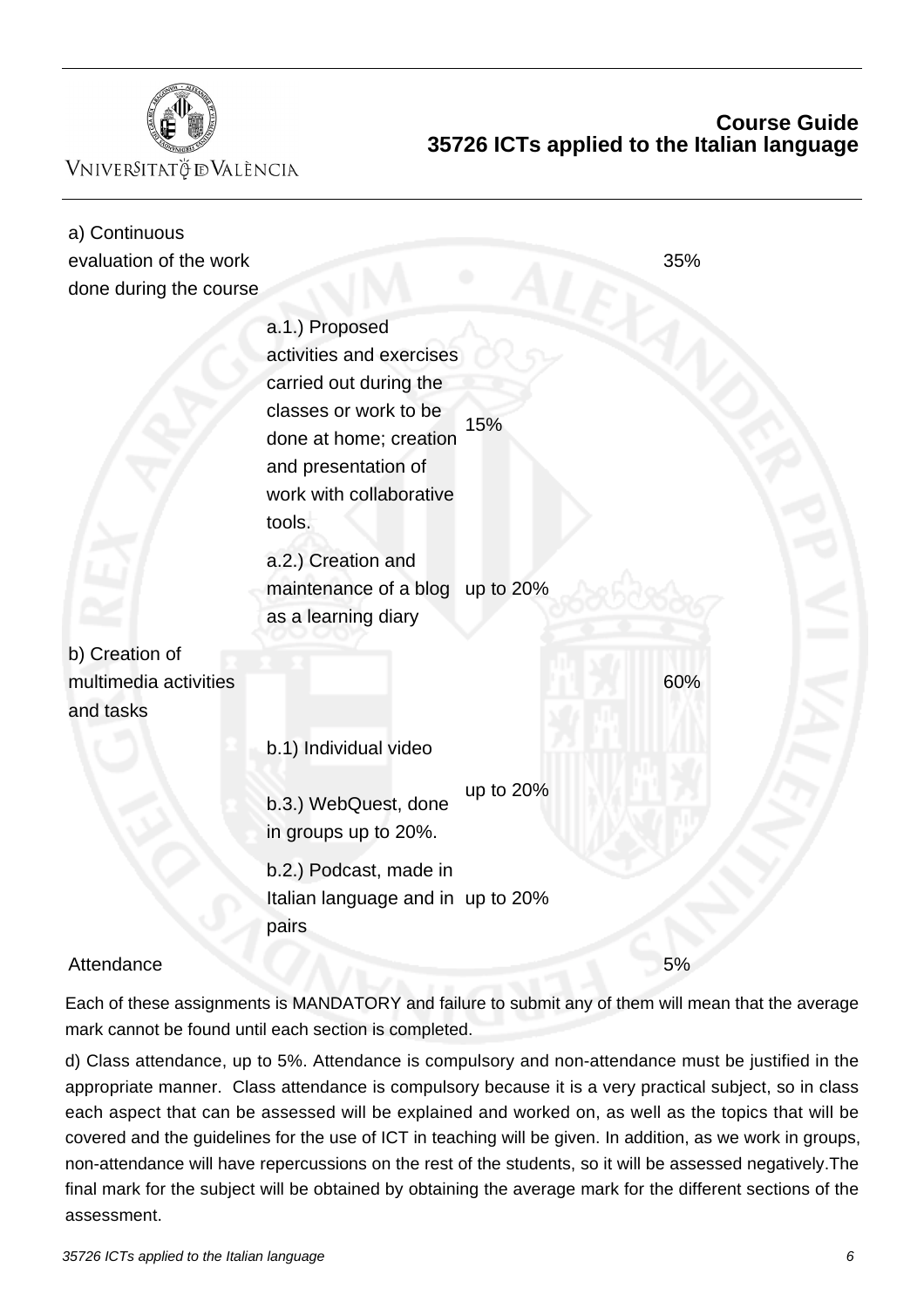

VNIVERSITATÖ ID VALÈNCIA

# **Course Guide 35726 ICTs applied to the Italian language**

| a) Continuous<br>evaluation of the work<br>done during the course |                                                                                                                                                                                                           |           | 35% |
|-------------------------------------------------------------------|-----------------------------------------------------------------------------------------------------------------------------------------------------------------------------------------------------------|-----------|-----|
|                                                                   | a.1.) Proposed<br>activities and exercises<br>carried out during the<br>classes or work to be<br>done at home; creation<br>and presentation of<br>work with collaborative<br>tools.<br>a.2.) Creation and | 15%       |     |
|                                                                   | maintenance of a blog<br>as a learning diary                                                                                                                                                              | up to 20% |     |
| b) Creation of                                                    |                                                                                                                                                                                                           |           |     |
| multimedia activities<br>and tasks                                |                                                                                                                                                                                                           |           | 60% |
|                                                                   | b.1) Individual video                                                                                                                                                                                     |           |     |
|                                                                   | b.3.) WebQuest, done<br>in groups up to 20%.                                                                                                                                                              | up to 20% |     |
|                                                                   | b.2.) Podcast, made in<br>Italian language and in up to 20%<br>pairs                                                                                                                                      |           |     |
| Attendance                                                        |                                                                                                                                                                                                           |           | 5%  |

Each of these assignments is MANDATORY and failure to submit any of them will mean that the average mark cannot be found until each section is completed.

d) Class attendance, up to 5%. Attendance is compulsory and non-attendance must be justified in the appropriate manner. Class attendance is compulsory because it is a very practical subject, so in class each aspect that can be assessed will be explained and worked on, as well as the topics that will be covered and the guidelines for the use of ICT in teaching will be given. In addition, as we work in groups, non-attendance will have repercussions on the rest of the students, so it will be assessed negatively.The final mark for the subject will be obtained by obtaining the average mark for the different sections of the assessment.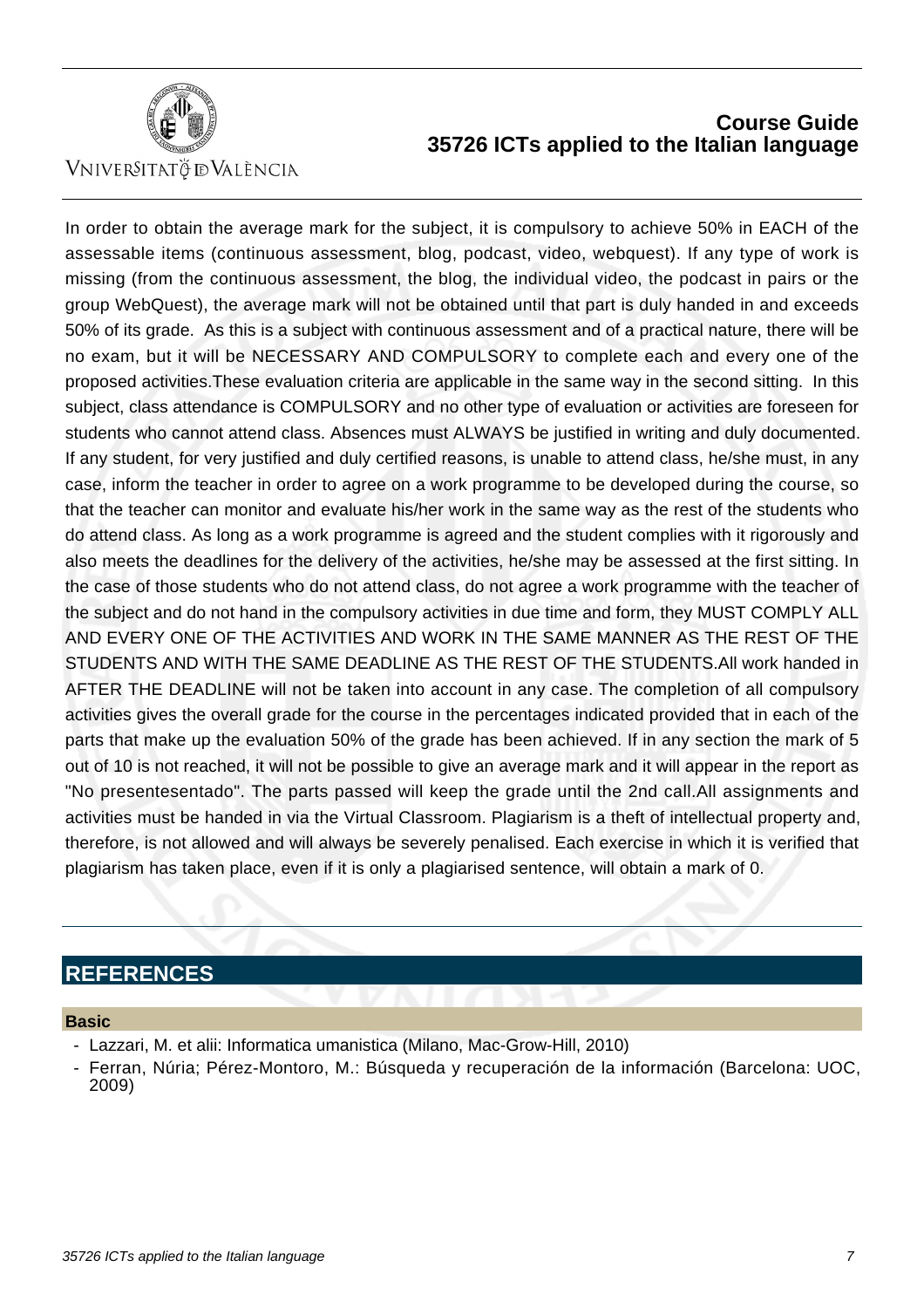

VNIVERSITATÖ IDVALÈNCIA

# **Course Guide 35726 ICTs applied to the Italian language**

In order to obtain the average mark for the subject, it is compulsory to achieve 50% in EACH of the assessable items (continuous assessment, blog, podcast, video, webquest). If any type of work is missing (from the continuous assessment, the blog, the individual video, the podcast in pairs or the group WebQuest), the average mark will not be obtained until that part is duly handed in and exceeds 50% of its grade. As this is a subject with continuous assessment and of a practical nature, there will be no exam, but it will be NECESSARY AND COMPULSORY to complete each and every one of the proposed activities.These evaluation criteria are applicable in the same way in the second sitting. In this subject, class attendance is COMPULSORY and no other type of evaluation or activities are foreseen for students who cannot attend class. Absences must ALWAYS be justified in writing and duly documented. If any student, for very justified and duly certified reasons, is unable to attend class, he/she must, in any case, inform the teacher in order to agree on a work programme to be developed during the course, so that the teacher can monitor and evaluate his/her work in the same way as the rest of the students who do attend class. As long as a work programme is agreed and the student complies with it rigorously and also meets the deadlines for the delivery of the activities, he/she may be assessed at the first sitting. In the case of those students who do not attend class, do not agree a work programme with the teacher of the subject and do not hand in the compulsory activities in due time and form, they MUST COMPLY ALL AND EVERY ONE OF THE ACTIVITIES AND WORK IN THE SAME MANNER AS THE REST OF THE STUDENTS AND WITH THE SAME DEADLINE AS THE REST OF THE STUDENTS.All work handed in AFTER THE DEADLINE will not be taken into account in any case. The completion of all compulsory activities gives the overall grade for the course in the percentages indicated provided that in each of the parts that make up the evaluation 50% of the grade has been achieved. If in any section the mark of 5 out of 10 is not reached, it will not be possible to give an average mark and it will appear in the report as "No presentesentado". The parts passed will keep the grade until the 2nd call.All assignments and activities must be handed in via the Virtual Classroom. Plagiarism is a theft of intellectual property and, therefore, is not allowed and will always be severely penalised. Each exercise in which it is verified that plagiarism has taken place, even if it is only a plagiarised sentence, will obtain a mark of 0.

# **REFERENCES**

### **Basic**

- Lazzari, M. et alii: Informatica umanistica (Milano, Mac-Grow-Hill, 2010)
- Ferran, Núria; Pérez-Montoro, M.: Búsqueda y recuperación de la información (Barcelona: UOC, 2009)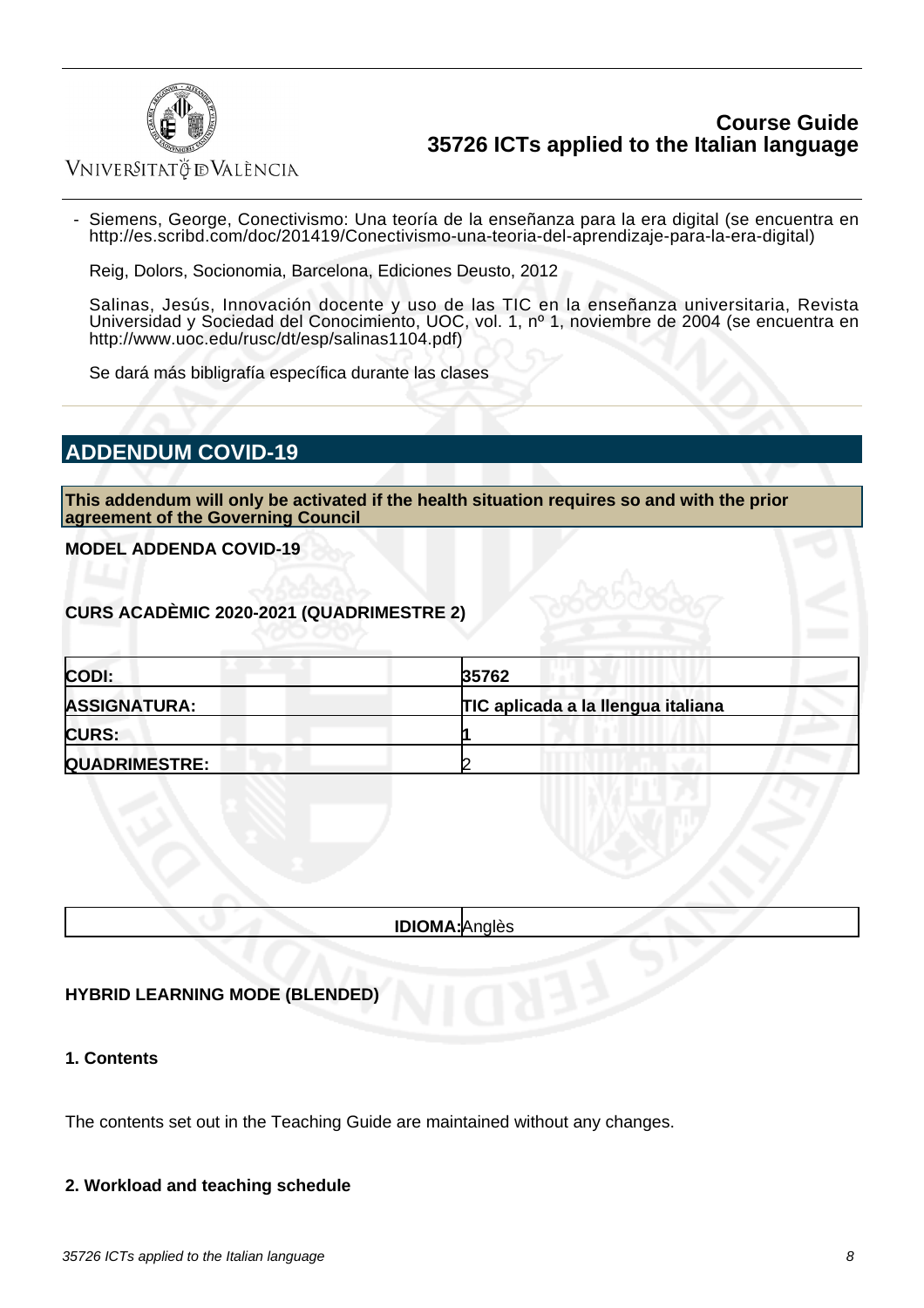

VNIVERSITATÖ ID VALÈNCIA

 - Siemens, George, Conectivismo: Una teoría de la enseñanza para la era digital (se encuentra en http://es.scribd.com/doc/201419/Conectivismo-una-teoria-del-aprendizaje-para-la-era-digital)

Reig, Dolors, Socionomia, Barcelona, Ediciones Deusto, 2012

Salinas, Jesús, Innovación docente y uso de las TIC en la enseñanza universitaria, Revista Universidad y Sociedad del Conocimiento, UOC, vol. 1, nº 1, noviembre de 2004 (se encuentra en http://www.uoc.edu/rusc/dt/esp/salinas1104.pdf)

Se dará más bibligrafía específica durante las clases

# **ADDENDUM COVID-19**

**This addendum will only be activated if the health situation requires so and with the prior agreement of the Governing Council**

**MODEL ADDENDA COVID-19**

**CURS ACADÈMIC 2020-2021 (QUADRIMESTRE 2)**

| CODI:                | 35762                              |  |
|----------------------|------------------------------------|--|
| <b>ASSIGNATURA:</b>  | TIC aplicada a la llengua italiana |  |
| <b>CURS:</b>         |                                    |  |
| <b>QUADRIMESTRE:</b> |                                    |  |

**IDIOMA:**Anglès

### **HYBRID LEARNING MODE (BLENDED)**

**1. Contents**

The contents set out in the Teaching Guide are maintained without any changes.

### **2. Workload and teaching schedule**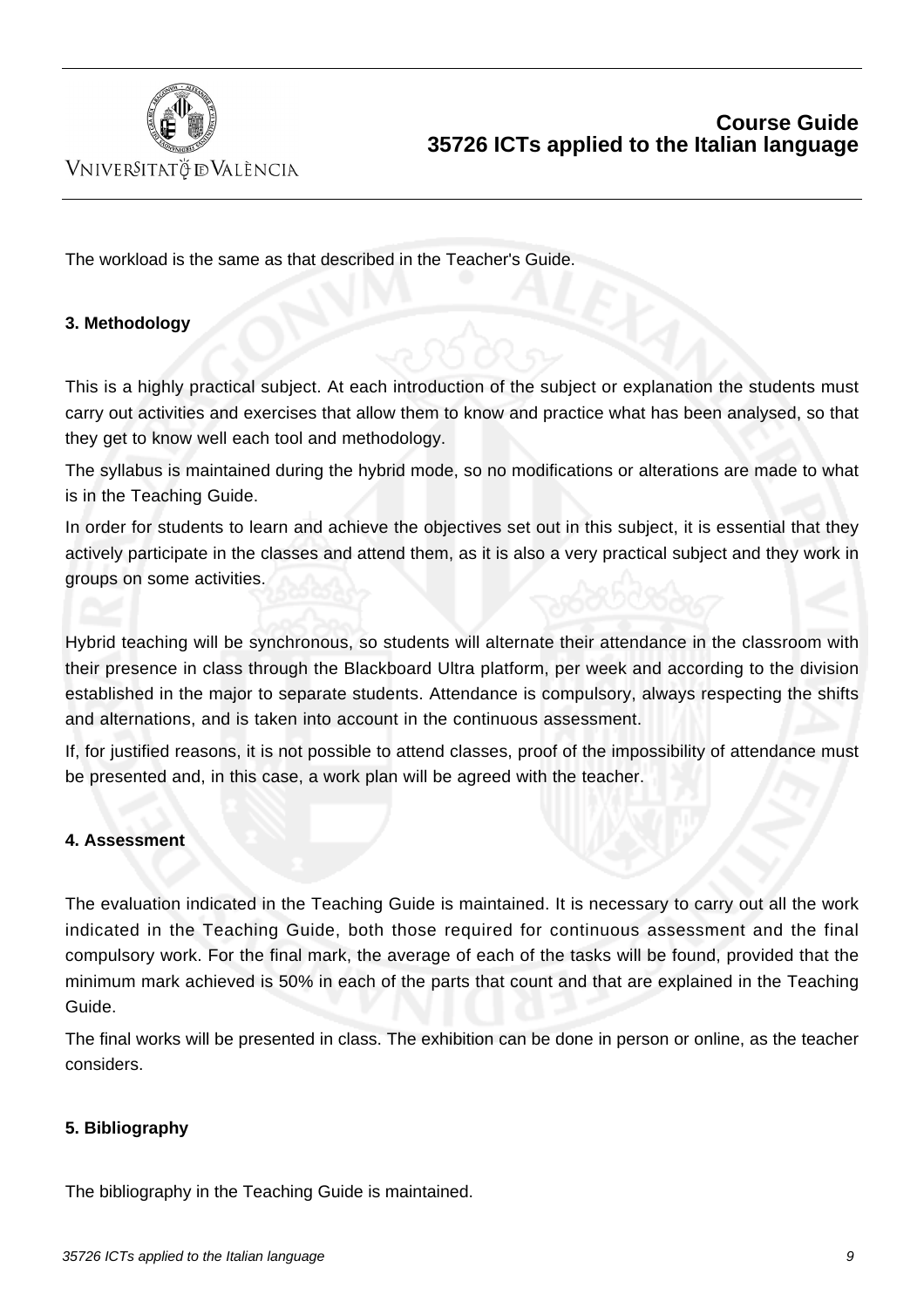

VNIVERSITATÖ IDVALÈNCIA

The workload is the same as that described in the Teacher's Guide.

### **3. Methodology**

This is a highly practical subject. At each introduction of the subject or explanation the students must carry out activities and exercises that allow them to know and practice what has been analysed, so that they get to know well each tool and methodology.

The syllabus is maintained during the hybrid mode, so no modifications or alterations are made to what is in the Teaching Guide.

In order for students to learn and achieve the objectives set out in this subject, it is essential that they actively participate in the classes and attend them, as it is also a very practical subject and they work in groups on some activities.

Hybrid teaching will be synchronous, so students will alternate their attendance in the classroom with their presence in class through the Blackboard Ultra platform, per week and according to the division established in the major to separate students. Attendance is compulsory, always respecting the shifts and alternations, and is taken into account in the continuous assessment.

If, for justified reasons, it is not possible to attend classes, proof of the impossibility of attendance must be presented and, in this case, a work plan will be agreed with the teacher.

### **4. Assessment**

The evaluation indicated in the Teaching Guide is maintained. It is necessary to carry out all the work indicated in the Teaching Guide, both those required for continuous assessment and the final compulsory work. For the final mark, the average of each of the tasks will be found, provided that the minimum mark achieved is 50% in each of the parts that count and that are explained in the Teaching Guide.

The final works will be presented in class. The exhibition can be done in person or online, as the teacher considers.

### **5. Bibliography**

The bibliography in the Teaching Guide is maintained.